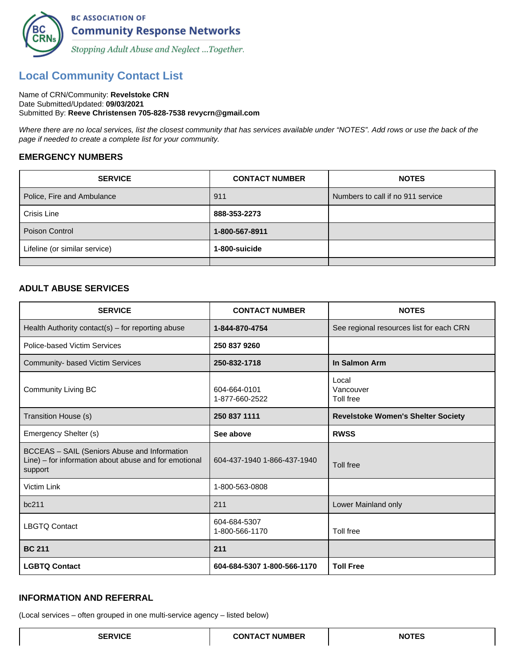

# **Local Community Contact List**

#### Name of CRN/Community: **Revelstoke CRN** Date Submitted/Updated: **09/03/2021** Submitted By: **Reeve Christensen 705-828-7538 revycrn@gmail.com**

Where there are no local services, list the closest community that has services available under "NOTES". Add rows or use the back of the page if needed to create a complete list for your community.

#### **EMERGENCY NUMBERS**

| <b>SERVICE</b>                | <b>CONTACT NUMBER</b> | <b>NOTES</b>                      |
|-------------------------------|-----------------------|-----------------------------------|
| Police, Fire and Ambulance    | 911                   | Numbers to call if no 911 service |
| Crisis Line                   | 888-353-2273          |                                   |
| Poison Control                | 1-800-567-8911        |                                   |
| Lifeline (or similar service) | 1-800-suicide         |                                   |
|                               |                       |                                   |

#### **ADULT ABUSE SERVICES**

| <b>SERVICE</b>                                                                                                   | <b>CONTACT NUMBER</b>          | <b>NOTES</b>                              |
|------------------------------------------------------------------------------------------------------------------|--------------------------------|-------------------------------------------|
| Health Authority contact(s) $-$ for reporting abuse                                                              | 1-844-870-4754                 | See regional resources list for each CRN  |
| Police-based Victim Services                                                                                     | 250 837 9260                   |                                           |
| Community- based Victim Services                                                                                 | 250-832-1718                   | In Salmon Arm                             |
| <b>Community Living BC</b>                                                                                       | 604-664-0101<br>1-877-660-2522 | Local<br>Vancouver<br>Toll free           |
| Transition House (s)                                                                                             | 250 837 1111                   | <b>Revelstoke Women's Shelter Society</b> |
| Emergency Shelter (s)                                                                                            | See above                      | <b>RWSS</b>                               |
| BCCEAS - SAIL (Seniors Abuse and Information<br>Line) – for information about abuse and for emotional<br>support | 604-437-1940 1-866-437-1940    | Toll free                                 |
| Victim Link                                                                                                      | 1-800-563-0808                 |                                           |
| bc211                                                                                                            | 211                            | Lower Mainland only                       |
| <b>LBGTQ Contact</b>                                                                                             | 604-684-5307<br>1-800-566-1170 | Toll free                                 |
| <b>BC 211</b>                                                                                                    | 211                            |                                           |
| <b>LGBTQ Contact</b>                                                                                             | 604-684-5307 1-800-566-1170    | <b>Toll Free</b>                          |

#### **INFORMATION AND REFERRAL**

(Local services – often grouped in one multi-service agency – listed below)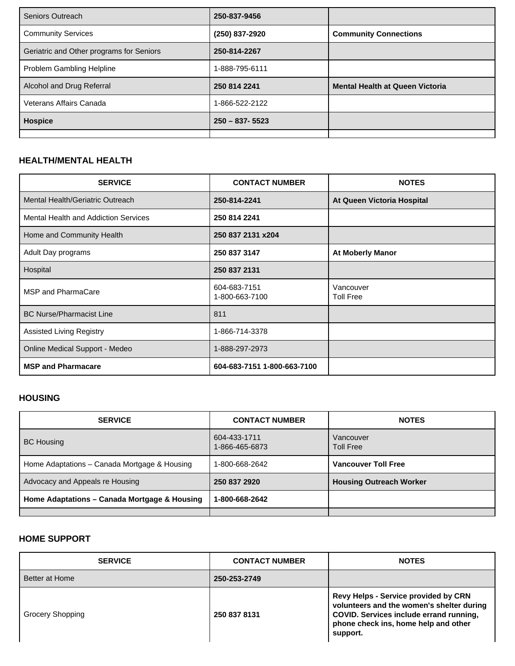| Seniors Outreach                         | 250-837-9456       |                                        |
|------------------------------------------|--------------------|----------------------------------------|
| <b>Community Services</b>                | (250) 837-2920     | <b>Community Connections</b>           |
| Geriatric and Other programs for Seniors | 250-814-2267       |                                        |
| Problem Gambling Helpline                | 1-888-795-6111     |                                        |
| Alcohol and Drug Referral                | 250 814 2241       | <b>Mental Health at Queen Victoria</b> |
| Veterans Affairs Canada                  | 1-866-522-2122     |                                        |
| Hospice                                  | $250 - 837 - 5523$ |                                        |
|                                          |                    |                                        |

#### **HEALTH/MENTAL HEALTH**

| <b>SERVICE</b>                       | <b>CONTACT NUMBER</b>          | <b>NOTES</b>                  |
|--------------------------------------|--------------------------------|-------------------------------|
| Mental Health/Geriatric Outreach     | 250-814-2241                   | At Queen Victoria Hospital    |
| Mental Health and Addiction Services | 250 814 2241                   |                               |
| Home and Community Health            | 250 837 2131 x204              |                               |
| Adult Day programs                   | 250 837 3147                   | <b>At Moberly Manor</b>       |
| Hospital                             | 250 837 2131                   |                               |
| MSP and PharmaCare                   | 604-683-7151<br>1-800-663-7100 | Vancouver<br><b>Toll Free</b> |
| <b>BC Nurse/Pharmacist Line</b>      | 811                            |                               |
| <b>Assisted Living Registry</b>      | 1-866-714-3378                 |                               |
| Online Medical Support - Medeo       | 1-888-297-2973                 |                               |
| <b>MSP and Pharmacare</b>            | 604-683-7151 1-800-663-7100    |                               |

#### **HOUSING**

| <b>SERVICE</b>                               | <b>CONTACT NUMBER</b>          | <b>NOTES</b>                   |
|----------------------------------------------|--------------------------------|--------------------------------|
| <b>BC Housing</b>                            | 604-433-1711<br>1-866-465-6873 | Vancouver<br><b>Toll Free</b>  |
| Home Adaptations - Canada Mortgage & Housing | 1-800-668-2642                 | <b>Vancouver Toll Free</b>     |
| Advocacy and Appeals re Housing              | 250 837 2920                   | <b>Housing Outreach Worker</b> |
| Home Adaptations - Canada Mortgage & Housing | 1-800-668-2642                 |                                |
|                                              |                                |                                |

### **HOME SUPPORT**

| <b>SERVICE</b>          | <b>CONTACT NUMBER</b> | <b>NOTES</b>                                                                                                                                                                            |
|-------------------------|-----------------------|-----------------------------------------------------------------------------------------------------------------------------------------------------------------------------------------|
| Better at Home          | 250-253-2749          |                                                                                                                                                                                         |
| <b>Grocery Shopping</b> | 250 837 8131          | <b>Revy Helps - Service provided by CRN</b><br>volunteers and the women's shelter during<br>COVID. Services include errand running,<br>phone check ins, home help and other<br>support. |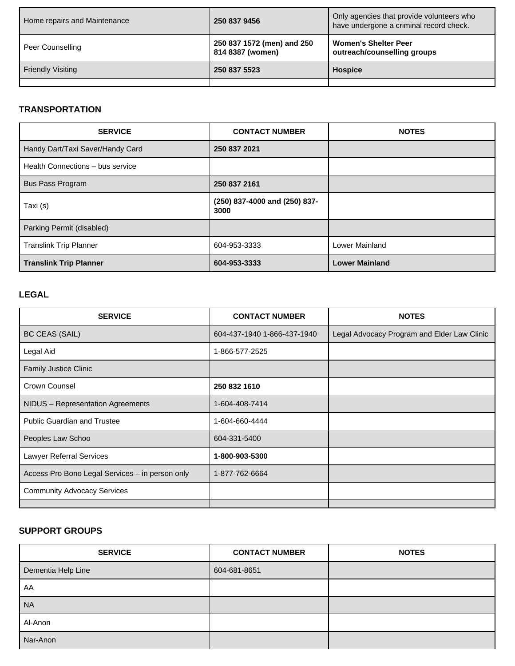| Home repairs and Maintenance | 250 837 9456                                   | Only agencies that provide volunteers who<br>have undergone a criminal record check. |
|------------------------------|------------------------------------------------|--------------------------------------------------------------------------------------|
| Peer Counselling             | 250 837 1572 (men) and 250<br>814 8387 (women) | <b>Women's Shelter Peer</b><br>outreach/counselling groups                           |
| <b>Friendly Visiting</b>     | 250 837 5523                                   | <b>Hospice</b>                                                                       |
|                              |                                                |                                                                                      |

### **TRANSPORTATION**

| <b>SERVICE</b>                   | <b>CONTACT NUMBER</b>                 | <b>NOTES</b>          |
|----------------------------------|---------------------------------------|-----------------------|
| Handy Dart/Taxi Saver/Handy Card | 250 837 2021                          |                       |
| Health Connections - bus service |                                       |                       |
| <b>Bus Pass Program</b>          | 250 837 2161                          |                       |
| Taxi (s)                         | (250) 837-4000 and (250) 837-<br>3000 |                       |
| Parking Permit (disabled)        |                                       |                       |
| <b>Translink Trip Planner</b>    | 604-953-3333                          | Lower Mainland        |
| <b>Translink Trip Planner</b>    | 604-953-3333                          | <b>Lower Mainland</b> |

#### **LEGAL**

| <b>SERVICE</b>                                  | <b>CONTACT NUMBER</b>       | <b>NOTES</b>                                |
|-------------------------------------------------|-----------------------------|---------------------------------------------|
| <b>BC CEAS (SAIL)</b>                           | 604-437-1940 1-866-437-1940 | Legal Advocacy Program and Elder Law Clinic |
| Legal Aid                                       | 1-866-577-2525              |                                             |
| <b>Family Justice Clinic</b>                    |                             |                                             |
| Crown Counsel                                   | 250 832 1610                |                                             |
| NIDUS - Representation Agreements               | 1-604-408-7414              |                                             |
| <b>Public Guardian and Trustee</b>              | 1-604-660-4444              |                                             |
| Peoples Law Schoo                               | 604-331-5400                |                                             |
| Lawyer Referral Services                        | 1-800-903-5300              |                                             |
| Access Pro Bono Legal Services - in person only | 1-877-762-6664              |                                             |
| <b>Community Advocacy Services</b>              |                             |                                             |
|                                                 |                             |                                             |

### **SUPPORT GROUPS**

| <b>SERVICE</b>     | <b>CONTACT NUMBER</b> | <b>NOTES</b> |
|--------------------|-----------------------|--------------|
| Dementia Help Line | 604-681-8651          |              |
| AA                 |                       |              |
| <b>NA</b>          |                       |              |
| Al-Anon            |                       |              |
| Nar-Anon           |                       |              |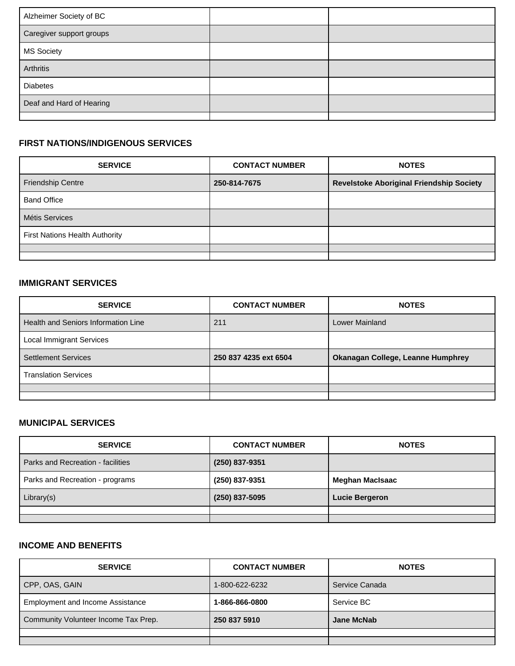| Alzheimer Society of BC  |  |
|--------------------------|--|
| Caregiver support groups |  |
| <b>MS Society</b>        |  |
| Arthritis                |  |
| <b>Diabetes</b>          |  |
| Deaf and Hard of Hearing |  |
|                          |  |

### **FIRST NATIONS/INDIGENOUS SERVICES**

| <b>SERVICE</b>                        | <b>CONTACT NUMBER</b> | <b>NOTES</b>                                    |
|---------------------------------------|-----------------------|-------------------------------------------------|
| <b>Friendship Centre</b>              | 250-814-7675          | <b>Revelstoke Aboriginal Friendship Society</b> |
| <b>Band Office</b>                    |                       |                                                 |
| Métis Services                        |                       |                                                 |
| <b>First Nations Health Authority</b> |                       |                                                 |
|                                       |                       |                                                 |
|                                       |                       |                                                 |

### **IMMIGRANT SERVICES**

| <b>SERVICE</b>                      | <b>CONTACT NUMBER</b> | <b>NOTES</b>                      |
|-------------------------------------|-----------------------|-----------------------------------|
| Health and Seniors Information Line | 211                   | Lower Mainland                    |
| <b>Local Immigrant Services</b>     |                       |                                   |
| <b>Settlement Services</b>          | 250 837 4235 ext 6504 | Okanagan College, Leanne Humphrey |
| <b>Translation Services</b>         |                       |                                   |
|                                     |                       |                                   |
|                                     |                       |                                   |

### **MUNICIPAL SERVICES**

| <b>SERVICE</b>                    | <b>CONTACT NUMBER</b> | <b>NOTES</b>           |
|-----------------------------------|-----------------------|------------------------|
| Parks and Recreation - facilities | (250) 837-9351        |                        |
| Parks and Recreation - programs   | (250) 837-9351        | <b>Meghan MacIsaac</b> |
| Library(s)                        | (250) 837-5095        | <b>Lucie Bergeron</b>  |
|                                   |                       |                        |
|                                   |                       |                        |

### **INCOME AND BENEFITS**

| <b>SERVICE</b>                          | <b>CONTACT NUMBER</b> | <b>NOTES</b>   |
|-----------------------------------------|-----------------------|----------------|
| CPP, OAS, GAIN                          | 1-800-622-6232        | Service Canada |
| <b>Employment and Income Assistance</b> | 1-866-866-0800        | Service BC     |
| Community Volunteer Income Tax Prep.    | 250 837 5910          | Jane McNab     |
|                                         |                       |                |
|                                         |                       |                |